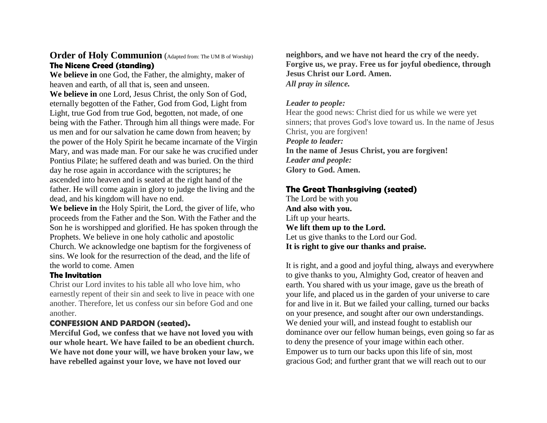## **Order of Holy Communion** (Adapted from: The UM B of Worship) **The Nicene Creed (standing)**

**We believe in** one God, the Father, the almighty, maker of heaven and earth, of all that is, seen and unseen.

**We believe in** one Lord, Jesus Christ, the only Son of God, eternally begotten of the Father, God from God, Light from Light, true God from true God, begotten, not made, of one being with the Father. Through him all things were made. For us men and for our salvation he came down from heaven; by the power of the Holy Spirit he became incarnate of the Virgin Mary, and was made man. For our sake he was crucified under Pontius Pilate; he suffered death and was buried. On the third day he rose again in accordance with the scriptures; he ascended into heaven and is seated at the right hand of the father. He will come again in glory to judge the living and the dead, and his kingdom will have no end.

**We believe in** the Holy Spirit, the Lord, the giver of life, who proceeds from the Father and the Son. With the Father and the Son he is worshipped and glorified. He has spoken through the Prophets. We believe in one holy catholic and apostolic Church. We acknowledge one baptism for the forgiveness of sins. We look for the resurrection of the dead, and the life of the world to come. Amen

#### **The Invitation**

Christ our Lord invites to his table all who love him, who earnestly repent of their sin and seek to live in peace with one another. Therefore, let us confess our sin before God and one another.

#### **CONFESSION AND PARDON (seated).**

**Merciful God, we confess that we have not loved you with our whole heart. We have failed to be an obedient church. We have not done your will, we have broken your law, we have rebelled against your love, we have not loved our**

**neighbors, and we have not heard the cry of the needy. Forgive us, we pray. Free us for joyful obedience, through Jesus Christ our Lord. Amen.** *All pray in silence.*

#### *Leader to people:*

Hear the good news: Christ died for us while we were yet sinners; that proves God's love toward us. In the name of Jesus Christ, you are forgiven! *People to leader:* **In the name of Jesus Christ, you are forgiven!** *Leader and people:* **Glory to God. Amen.**

### **The Great Thanksgiving (seated)**

The Lord be with you **And also with you.**  Lift up your hearts. **We lift them up to the Lord.**  Let us give thanks to the Lord our God. **It is right to give our thanks and praise.** 

It is right, and a good and joyful thing, always and everywhere to give thanks to you, Almighty God, creator of heaven and earth. You shared with us your image, gave us the breath of your life, and placed us in the garden of your universe to care for and live in it. But we failed your calling, turned our backs on your presence, and sought after our own understandings. We denied your will, and instead fought to establish our dominance over our fellow human beings, even going so far as to deny the presence of your image within each other. Empower us to turn our backs upon this life of sin, most gracious God; and further grant that we will reach out to our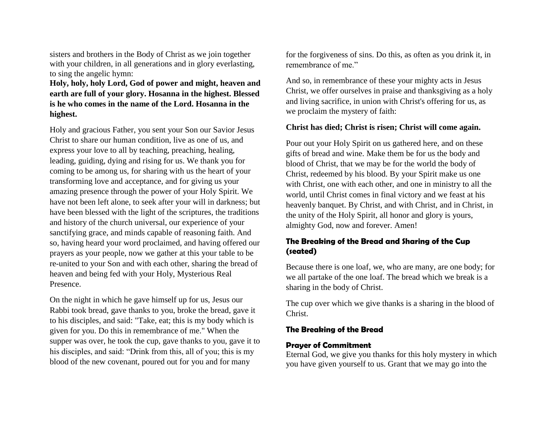sisters and brothers in the Body of Christ as we join together with your children, in all generations and in glory everlasting, to sing the angelic hymn:

**Holy, holy, holy Lord, God of power and might, heaven and earth are full of your glory. Hosanna in the highest. Blessed is he who comes in the name of the Lord. Hosanna in the highest.** 

Holy and gracious Father, you sent your Son our Savior Jesus Christ to share our human condition, live as one of us, and express your love to all by teaching, preaching, healing, leading, guiding, dying and rising for us. We thank you for coming to be among us, for sharing with us the heart of your transforming love and acceptance, and for giving us your amazing presence through the power of your Holy Spirit. We have not been left alone, to seek after your will in darkness; but have been blessed with the light of the scriptures, the traditions and history of the church universal, our experience of your sanctifying grace, and minds capable of reasoning faith. And so, having heard your word proclaimed, and having offered our prayers as your people, now we gather at this your table to be re-united to your Son and with each other, sharing the bread of heaven and being fed with your Holy, Mysterious Real Presence.

On the night in which he gave himself up for us, Jesus our Rabbi took bread, gave thanks to you, broke the bread, gave it to his disciples, and said: "Take, eat; this is my body which is given for you. Do this in remembrance of me." When the supper was over, he took the cup, gave thanks to you, gave it to his disciples, and said: "Drink from this, all of you; this is my blood of the new covenant, poured out for you and for many

for the forgiveness of sins. Do this, as often as you drink it, in remembrance of me."

And so, in remembrance of these your mighty acts in Jesus Christ, we offer ourselves in praise and thanksgiving as a holy and living sacrifice, in union with Christ's offering for us, as we proclaim the mystery of faith:

#### **Christ has died; Christ is risen; Christ will come again.**

Pour out your Holy Spirit on us gathered here, and on these gifts of bread and wine. Make them be for us the body and blood of Christ, that we may be for the world the body of Christ, redeemed by his blood. By your Spirit make us one with Christ, one with each other, and one in ministry to all the world, until Christ comes in final victory and we feast at his heavenly banquet. By Christ, and with Christ, and in Christ, in the unity of the Holy Spirit, all honor and glory is yours, almighty God, now and forever. Amen!

## **The Breaking of the Bread and Sharing of the Cup (seated)**

Because there is one loaf, we, who are many, are one body; for we all partake of the one loaf. The bread which we break is a sharing in the body of Christ.

The cup over which we give thanks is a sharing in the blood of Christ.

### **The Breaking of the Bread**

### **Prayer of Commitment**

Eternal God, we give you thanks for this holy mystery in which you have given yourself to us. Grant that we may go into the